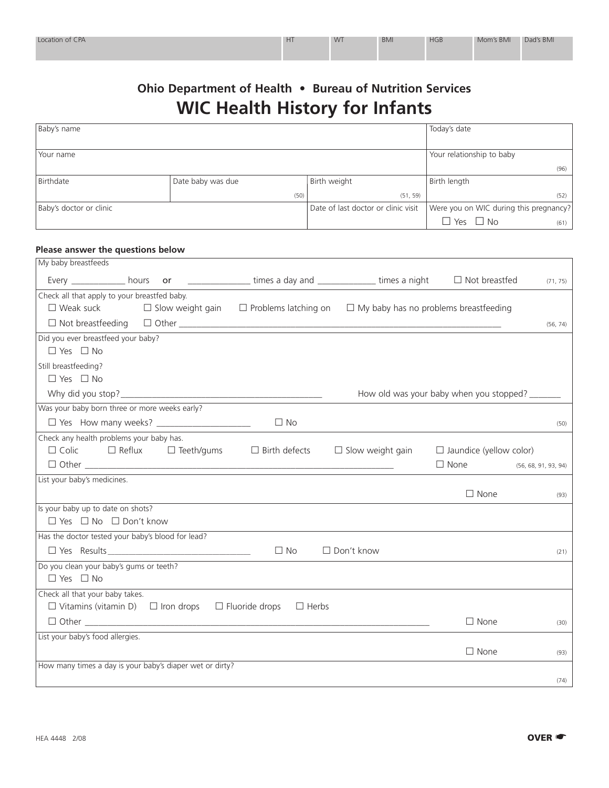| Location of CPA | HT | <b>WT</b> | <b>BMI</b> | <b>HGB</b> | Mom's BMI | Dad's BMI |
|-----------------|----|-----------|------------|------------|-----------|-----------|
|                 |    |           |            |            |           |           |

## **Ohio Department of Health • Bureau of Nutrition Services WIC Health History for Infants**

| Baby's name             |                   |                                     | Today's date                           |
|-------------------------|-------------------|-------------------------------------|----------------------------------------|
|                         |                   |                                     |                                        |
| Your name               |                   |                                     | Your relationship to baby              |
|                         |                   |                                     | (96)                                   |
| Birthdate               | Date baby was due | Birth weight                        | Birth length                           |
|                         | (50)              | (51, 59)                            | (52)                                   |
| Baby's doctor or clinic |                   | Date of last doctor or clinic visit | Were you on WIC during this pregnancy? |
|                         |                   |                                     | $\Box$ Yes $\Box$ No<br>(61)           |

## **Please answer the questions below**

| My baby breastfeeds                                                                            |                                                                          |                                         |          |
|------------------------------------------------------------------------------------------------|--------------------------------------------------------------------------|-----------------------------------------|----------|
| Every ______________ hours or __________________ times a day and _______________ times a night |                                                                          | $\Box$ Not breastfed                    | (71, 75) |
| Check all that apply to your breastfed baby.                                                   |                                                                          |                                         |          |
| $\square$ Weak suck<br>$\Box$ Slow weight gain                                                 | $\Box$ Problems latching on $\Box$ My baby has no problems breastfeeding |                                         |          |
|                                                                                                |                                                                          |                                         | (56, 74) |
| Did you ever breastfeed your baby?                                                             |                                                                          |                                         |          |
| $\Box$ Yes $\Box$ No                                                                           |                                                                          |                                         |          |
| Still breastfeeding?                                                                           |                                                                          |                                         |          |
| $\Box$ Yes $\Box$ No                                                                           |                                                                          |                                         |          |
|                                                                                                |                                                                          | How old was your baby when you stopped? |          |
| Was your baby born three or more weeks early?                                                  |                                                                          |                                         |          |
| □ Yes How many weeks? ______________________<br>$\Box$ No                                      |                                                                          |                                         | (50)     |
| Check any health problems your baby has.                                                       |                                                                          |                                         |          |
| $\Box$ Colic $\Box$ Reflux $\Box$ Teeth/gums<br>$\Box$ Birth defects                           | $\Box$ Slow weight gain                                                  | $\Box$ Jaundice (yellow color)          |          |
|                                                                                                |                                                                          | $\Box$ None (56, 68, 91, 93, 94)        |          |
| List your baby's medicines.                                                                    |                                                                          |                                         |          |
|                                                                                                |                                                                          | $\Box$ None                             | (93)     |
| Is your baby up to date on shots?                                                              |                                                                          |                                         |          |
| $\Box$ Yes $\Box$ No $\Box$ Don't know                                                         |                                                                          |                                         |          |
| Has the doctor tested your baby's blood for lead?                                              |                                                                          |                                         |          |
| $\Box$ Yes Results<br>$\Box$ No                                                                | $\Box$ Don't know                                                        |                                         | (21)     |
| Do you clean your baby's gums or teeth?                                                        |                                                                          |                                         |          |
| $\Box$ Yes $\Box$ No                                                                           |                                                                          |                                         |          |
| Check all that your baby takes.                                                                |                                                                          |                                         |          |
| $\Box$ Vitamins (vitamin D) $\Box$ Iron drops<br>$\Box$ Fluoride drops                         | $\Box$ Herbs                                                             |                                         |          |
|                                                                                                |                                                                          | $\Box$ None                             | (30)     |
| List your baby's food allergies.                                                               |                                                                          |                                         |          |
|                                                                                                |                                                                          | $\Box$ None                             | (93)     |
| How many times a day is your baby's diaper wet or dirty?                                       |                                                                          |                                         |          |
|                                                                                                |                                                                          |                                         | (74)     |